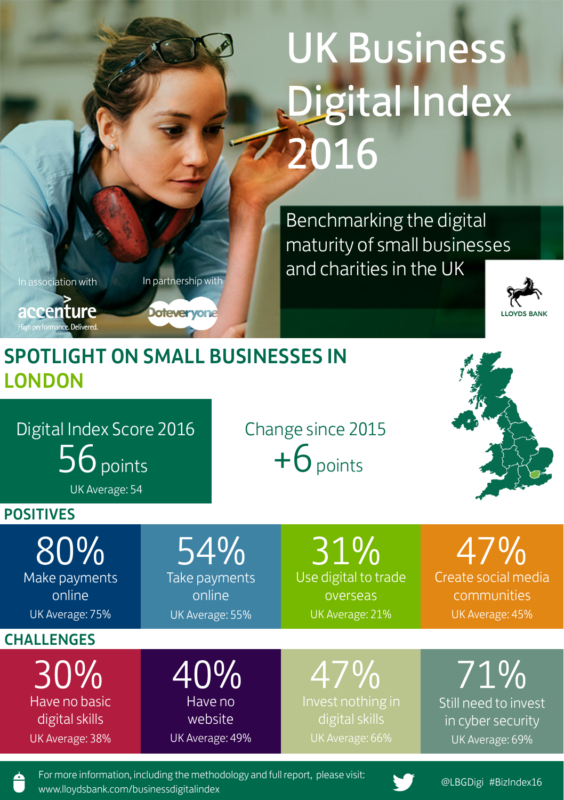# UK Business Digital Index 2016

Benchmarking the digital maturity of small businesses and charities in the UK

In association with

In partnership with

**Dotevervone** 

accenture High performance. Delivered

**LLOVDE RANK** 

## SPOTLIGHT ON SMALL BUSINESSES IN **LONDON**

Digital Index Score 2016 Change since 2015

 $56$  points  $+6$  points

UK Average: 54

#### POSITIVES

Make payments online

UK Average: 75%

**CHALLENGES** 

Have no basic digital skills UK Average: 38% 30% 40% 47% 71%

Take payments online UK Average: 55%

Use digital to trade overseas UK Average: 21% 80% 54% 31% 47%

> Invest nothing in digital skills

Create social media communities UK Average: 45%

Still need to invest in cyber security UK Average: 69%

For more information, including the methodology and full report, please visit: www.lloydsbank.com/businessdigitalindex<br>www.lloydsbank.com/businessdigitalindex

Have no website UK Average: 49%